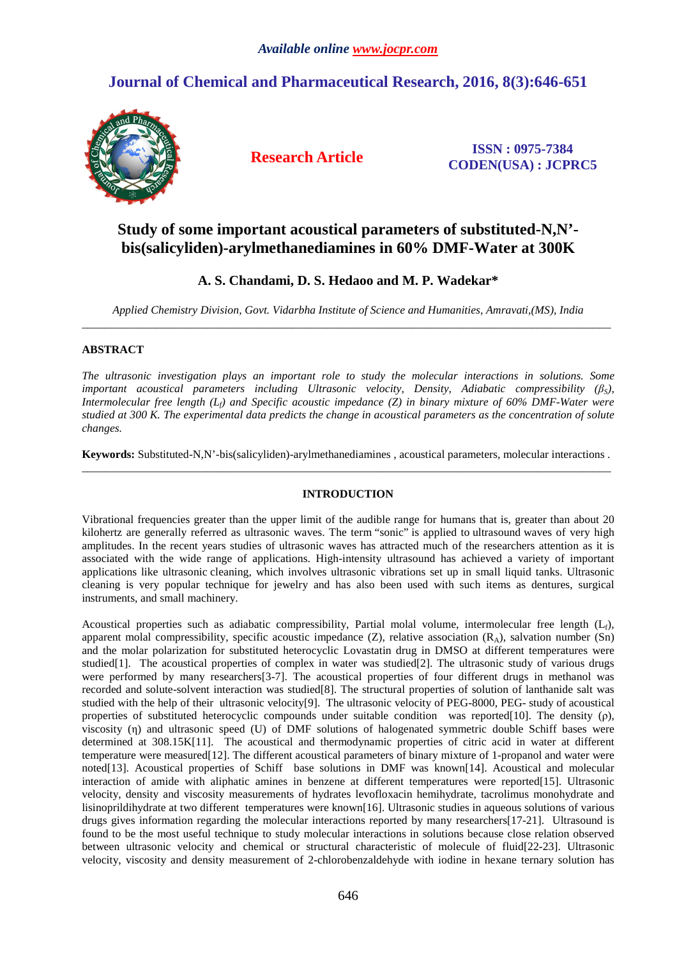# **Journal of Chemical and Pharmaceutical Research, 2016, 8(3):646-651**



**Research Article ISSN : 0975-7384 CODEN(USA) : JCPRC5**

## **Study of some important acoustical parameters of substituted-N,N' bis(salicyliden)-arylmethanediamines in 60% DMF-Water at 300K**

## **A. S. Chandami, D. S. Hedaoo and M. P. Wadekar\***

*Applied Chemistry Division, Govt. Vidarbha Institute of Science and Humanities, Amravati,(MS), India*  \_\_\_\_\_\_\_\_\_\_\_\_\_\_\_\_\_\_\_\_\_\_\_\_\_\_\_\_\_\_\_\_\_\_\_\_\_\_\_\_\_\_\_\_\_\_\_\_\_\_\_\_\_\_\_\_\_\_\_\_\_\_\_\_\_\_\_\_\_\_\_\_\_\_\_\_\_\_\_\_\_\_\_\_\_\_\_\_\_\_\_\_\_

## **ABSTRACT**

*The ultrasonic investigation plays an important role to study the molecular interactions in solutions. Some important acoustical parameters including Ultrasonic velocity, Density, Adiabatic compressibility (βS), Intermolecular free length (Lf) and Specific acoustic impedance (Z) in binary mixture of 60% DMF-Water were studied at 300 K. The experimental data predicts the change in acoustical parameters as the concentration of solute changes.* 

**Keywords:** Substituted-N,N'-bis(salicyliden)-arylmethanediamines , acoustical parameters, molecular interactions . \_\_\_\_\_\_\_\_\_\_\_\_\_\_\_\_\_\_\_\_\_\_\_\_\_\_\_\_\_\_\_\_\_\_\_\_\_\_\_\_\_\_\_\_\_\_\_\_\_\_\_\_\_\_\_\_\_\_\_\_\_\_\_\_\_\_\_\_\_\_\_\_\_\_\_\_\_\_\_\_\_\_\_\_\_\_\_\_\_\_\_\_\_

## **INTRODUCTION**

Vibrational frequencies greater than the upper limit of the audible range for humans that is, greater than about 20 kilohertz are generally referred as ultrasonic waves. The term "sonic" is applied to ultrasound waves of very high amplitudes. In the recent years studies of ultrasonic waves has attracted much of the researchers attention as it is associated with the wide range of applications. High-intensity ultrasound has achieved a variety of important applications like ultrasonic cleaning, which involves ultrasonic vibrations set up in small liquid tanks. Ultrasonic cleaning is very popular technique for jewelry and has also been used with such items as dentures, surgical instruments, and small machinery.

Acoustical properties such as adiabatic compressibility, Partial molal volume, intermolecular free length  $(L_f)$ , apparent molal compressibility, specific acoustic impedance (Z), relative association  $(R_A)$ , salvation number (Sn) and the molar polarization for substituted heterocyclic Lovastatin drug in DMSO at different temperatures were studied[1]. The acoustical properties of complex in water was studied[2]. The ultrasonic study of various drugs were performed by many researchers[3-7]. The acoustical properties of four different drugs in methanol was recorded and solute-solvent interaction was studied[8]. The structural properties of solution of lanthanide salt was studied with the help of their ultrasonic velocity[9]. The ultrasonic velocity of PEG-8000, PEG- study of acoustical properties of substituted heterocyclic compounds under suitable condition was reported[10]. The density (ρ), viscosity (η) and ultrasonic speed (U) of DMF solutions of halogenated symmetric double Schiff bases were determined at 308.15K[11]. The acoustical and thermodynamic properties of citric acid in water at different temperature were measured[12]. The different acoustical parameters of binary mixture of 1-propanol and water were noted[13]. Acoustical properties of Schiff base solutions in DMF was known[14]. Acoustical and molecular interaction of amide with aliphatic amines in benzene at different temperatures were reported[15]. Ultrasonic velocity, density and viscosity measurements of hydrates levofloxacin hemihydrate, tacrolimus monohydrate and lisinoprildihydrate at two different temperatures were known[16]. Ultrasonic studies in aqueous solutions of various drugs gives information regarding the molecular interactions reported by many researchers[17-21]. Ultrasound is found to be the most useful technique to study molecular interactions in solutions because close relation observed between ultrasonic velocity and chemical or structural characteristic of molecule of fluid[22-23]. Ultrasonic velocity, viscosity and density measurement of 2-chlorobenzaldehyde with iodine in hexane ternary solution has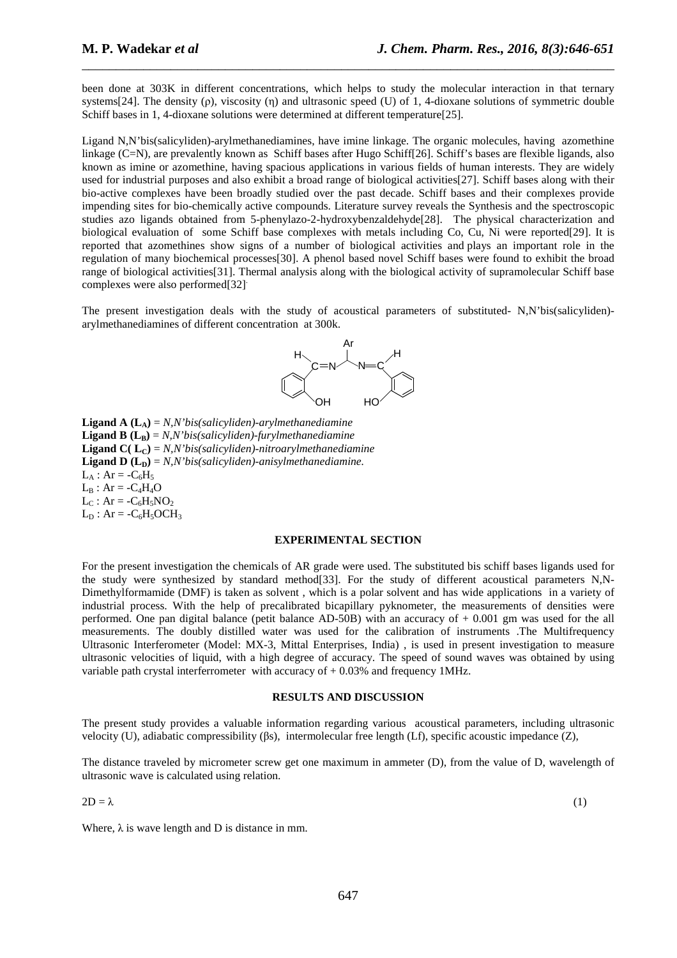been done at 303K in different concentrations, which helps to study the molecular interaction in that ternary systems[24]. The density (ρ), viscosity (η) and ultrasonic speed (U) of 1, 4-dioxane solutions of symmetric double Schiff bases in 1, 4-dioxane solutions were determined at different temperature[25].

\_\_\_\_\_\_\_\_\_\_\_\_\_\_\_\_\_\_\_\_\_\_\_\_\_\_\_\_\_\_\_\_\_\_\_\_\_\_\_\_\_\_\_\_\_\_\_\_\_\_\_\_\_\_\_\_\_\_\_\_\_\_\_\_\_\_\_\_\_\_\_\_\_\_\_\_\_\_

Ligand N,N'bis(salicyliden)-arylmethanediamines, have imine linkage. The organic molecules, having azomethine linkage (C=N), are prevalently known as Schiff bases after Hugo Schiff[26]. Schiff's bases are flexible ligands, also known as imine or azomethine, having spacious applications in various fields of human interests. They are widely used for industrial purposes and also exhibit a broad range of biological activities[27]. Schiff bases along with their bio-active complexes have been broadly studied over the past decade. Schiff bases and their complexes provide impending sites for bio-chemically active compounds. Literature survey reveals the Synthesis and the spectroscopic studies azo ligands obtained from 5-phenylazo-2-hydroxybenzaldehyde[28]. The physical characterization and biological evaluation of some Schiff base complexes with metals including Co, Cu, Ni were reported[29]. It is reported that azomethines show signs of a number of biological activities and plays an important role in the regulation of many biochemical processes[30]. A phenol based novel Schiff bases were found to exhibit the broad range of biological activities[31]. Thermal analysis along with the biological activity of supramolecular Schiff base complexes were also performed[32].

The present investigation deals with the study of acoustical parameters of substituted- N,N'bis(salicyliden) arylmethanediamines of different concentration at 300k.



**Ligand A**  $(L_A) = N$ *, N'bis(salicyliden)-arylmethanediamine* **Ligand B**  $(L_B) = N, N'$ *bis(salicyliden)-furylmethanediamine* **Ligand C(** $L_c$ ) = *N,N'bis(salicyliden)-nitroarylmethanediamine* **Ligand D**  $(L_p) = N, N'$ *bis(salicyliden)-anisylmethanediamine.*  $L_A$ : Ar =  $-C_6H_5$  $L_B$  : Ar = -C<sub>4</sub>H<sub>4</sub>O  $L<sub>C</sub>$ : Ar =  $-C<sub>6</sub>H<sub>5</sub>NO<sub>2</sub>$  $L_D$ : Ar =  $-C_6H_5OCH_3$ 

### **EXPERIMENTAL SECTION**

For the present investigation the chemicals of AR grade were used. The substituted bis schiff bases ligands used for the study were synthesized by standard method[33]. For the study of different acoustical parameters N,N-Dimethylformamide (DMF) is taken as solvent , which is a polar solvent and has wide applications in a variety of industrial process. With the help of precalibrated bicapillary pyknometer, the measurements of densities were performed. One pan digital balance (petit balance AD-50B) with an accuracy of + 0.001 gm was used for the all measurements. The doubly distilled water was used for the calibration of instruments .The Multifrequency Ultrasonic Interferometer (Model: MX-3, Mittal Enterprises, India) , is used in present investigation to measure ultrasonic velocities of liquid, with a high degree of accuracy. The speed of sound waves was obtained by using variable path crystal interferrometer with accuracy of  $+ 0.03\%$  and frequency 1MHz.

### **RESULTS AND DISCUSSION**

The present study provides a valuable information regarding various acoustical parameters, including ultrasonic velocity (U), adiabatic compressibility (βs), intermolecular free length (Lf), specific acoustic impedance (Z),

The distance traveled by micrometer screw get one maximum in ammeter (D), from the value of D, wavelength of ultrasonic wave is calculated using relation.

 $2D = \lambda$  (1)

Where,  $\lambda$  is wave length and D is distance in mm.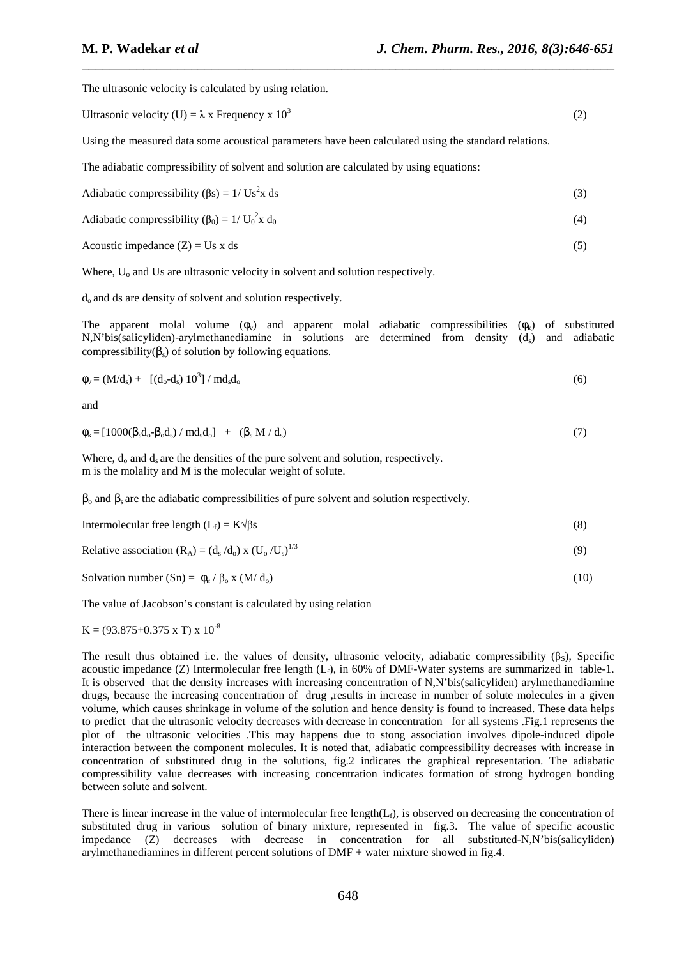The ultrasonic velocity is calculated by using relation.

Ultrasonic velocity (U) =  $\lambda$  x Frequency x 10<sup>3</sup> (2)

\_\_\_\_\_\_\_\_\_\_\_\_\_\_\_\_\_\_\_\_\_\_\_\_\_\_\_\_\_\_\_\_\_\_\_\_\_\_\_\_\_\_\_\_\_\_\_\_\_\_\_\_\_\_\_\_\_\_\_\_\_\_\_\_\_\_\_\_\_\_\_\_\_\_\_\_\_\_

Using the measured data some acoustical parameters have been calculated using the standard relations.

The adiabatic compressibility of solvent and solution are calculated by using equations:

| Adiabatic compressibility ( $\beta s$ ) = 1/ Us <sup>2</sup> x ds |  |
|-------------------------------------------------------------------|--|
|-------------------------------------------------------------------|--|

Adiabatic compressibility ( $\beta_0$ ) = 1/ U<sub>0</sub><sup>2</sup>  $x d_0$  (4)

Acoustic impedance  $(Z) = Us \times ds$  (5)

Where,  $U_0$  and Us are ultrasonic velocity in solvent and solution respectively.

 $d<sub>o</sub>$  and ds are density of solvent and solution respectively.

The apparent molal volume ( $\phi_v$ ) and apparent molal adiabatic compressibilities ( $\phi_k$ ) of substituted  $N$ , $N$ 'bis(salicyliden)-arylmethanediamine in solutions are determined from density  $(d_s)$  and adiabatic compressibility( $\beta_s$ ) of solution by following equations.

$$
\phi_v = (M/d_s) + [(d_o - d_s) 10^3] / md_s d_o
$$
\n(6)

and

$$
\phi_k = [1000(\beta_s d_o - \beta_o d_s) / md_s d_o] + (\beta_s M / d_s)
$$
\n(7)

Where,  $d_0$  and  $d_s$  are the densities of the pure solvent and solution, respectively. m is the molality and M is the molecular weight of solute.

 $β<sub>o</sub>$  and  $β<sub>s</sub>$  are the adiabatic compressibilities of pure solvent and solution respectively.

| Intermolecular free length $(L_f) = K\sqrt{\beta} s$ |  |  |
|------------------------------------------------------|--|--|
|------------------------------------------------------|--|--|

Relative association  $(R_A) = (d_s/d_o) x (U_o/U_s)$  $^{1/3}$  (9)

Solution number (Sn) = 
$$
\phi_{\kappa} / \beta_0 x
$$
 (M/d<sub>0</sub>) (10)

The value of Jacobson's constant is calculated by using relation

$$
K = (93.875 + 0.375 \times T) \times 10^{-8}
$$

The result thus obtained i.e. the values of density, ultrasonic velocity, adiabatic compressibility  $(\beta_S)$ , Specific acoustic impedance (Z) Intermolecular free length  $(L_f)$ , in 60% of DMF-Water systems are summarized in table-1. It is observed that the density increases with increasing concentration of N,N'bis(salicyliden) arylmethanediamine drugs, because the increasing concentration of drug ,results in increase in number of solute molecules in a given volume, which causes shrinkage in volume of the solution and hence density is found to increased. These data helps to predict that the ultrasonic velocity decreases with decrease in concentration for all systems .Fig.1 represents the plot of the ultrasonic velocities .This may happens due to stong association involves dipole-induced dipole interaction between the component molecules. It is noted that, adiabatic compressibility decreases with increase in concentration of substituted drug in the solutions, fig.2 indicates the graphical representation. The adiabatic compressibility value decreases with increasing concentration indicates formation of strong hydrogen bonding between solute and solvent.

There is linear increase in the value of intermolecular free length $(L_f)$ , is observed on decreasing the concentration of substituted drug in various solution of binary mixture, represented in fig.3. The value of specific acoustic impedance (Z) decreases with decrease in concentration for all substituted-N,N'bis(salicyliden) arylmethanediamines in different percent solutions of DMF + water mixture showed in fig.4.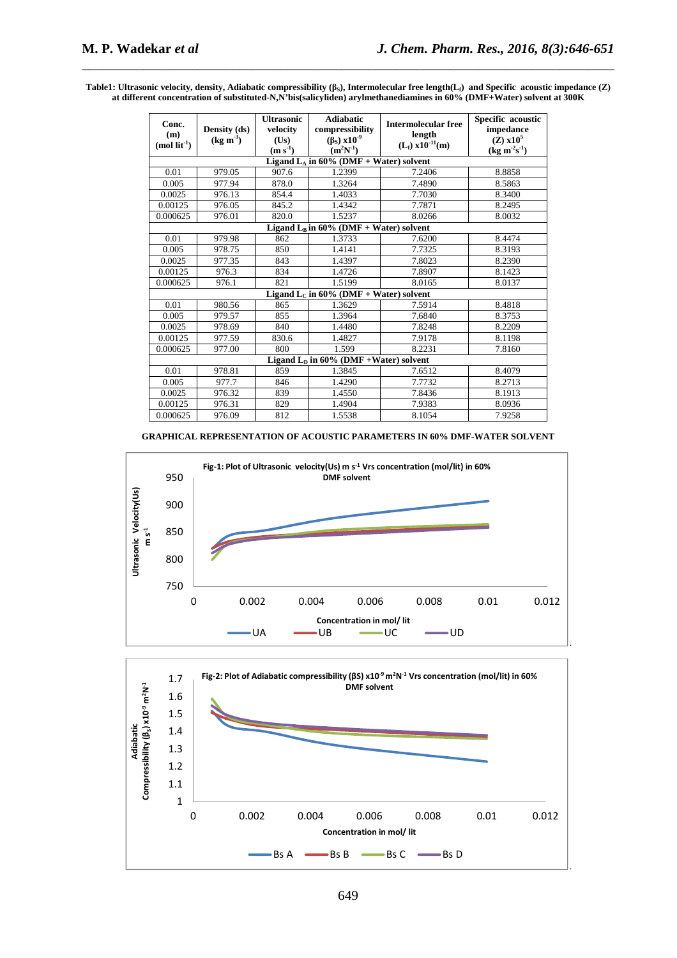**Table1: Ultrasonic velocity, density, Adiabatic compressibility (βS), Intermolecular free length(Lf) and Specific acoustic impedance (Z) at different concentration of substituted-N,N'bis(salicyliden) arylmethanediamines in 60% (DMF+Water) solvent at 300K** 

\_\_\_\_\_\_\_\_\_\_\_\_\_\_\_\_\_\_\_\_\_\_\_\_\_\_\_\_\_\_\_\_\_\_\_\_\_\_\_\_\_\_\_\_\_\_\_\_\_\_\_\_\_\_\_\_\_\_\_\_\_\_\_\_\_\_\_\_\_\_\_\_\_\_\_\_\_\_

| Conc.<br>(m)<br>(mol lit <sup>-1</sup> )  | Density (ds)<br>$(\text{kg m}^3)$ | <b>Ultrasonic</b><br>velocity<br>(Us)<br>$(m s-1)$ | <b>Adiabatic</b><br>compressibility<br>$(βS) x10-9$<br>$(m^2N^{-1})$ | <b>Intermolecular free</b><br>length<br>$(L_f)$ x10 <sup>-11</sup> (m) | Specific acoustic<br>impedance<br>$(Z)$ x10 <sup>5</sup><br>$(kg m-2s-1)$ |  |  |
|-------------------------------------------|-----------------------------------|----------------------------------------------------|----------------------------------------------------------------------|------------------------------------------------------------------------|---------------------------------------------------------------------------|--|--|
| Ligand $L_A$ in 60% (DMF + Water) solvent |                                   |                                                    |                                                                      |                                                                        |                                                                           |  |  |
| 0.01                                      | 979.05                            | 907.6                                              | 1.2399                                                               | 7.2406                                                                 | 8.8858                                                                    |  |  |
| 0.005                                     | 977.94                            | 878.0                                              | 1.3264                                                               | 7.4890                                                                 | 8.5863                                                                    |  |  |
| 0.0025                                    | 976.13                            | 854.4                                              | 1.4033                                                               | 7.7030                                                                 | 8.3400                                                                    |  |  |
| 0.00125                                   | 976.05                            | 845.2                                              | 1.4342                                                               | 7.7871                                                                 | 8.2495                                                                    |  |  |
| 0.000625                                  | 976.01                            | 820.0                                              | 1.5237                                                               | 8.0266                                                                 | 8.0032                                                                    |  |  |
| Ligand $L_B$ in 60% (DMF + Water) solvent |                                   |                                                    |                                                                      |                                                                        |                                                                           |  |  |
| 0.01                                      | 979.98                            | 862                                                | 1.3733                                                               | 7.6200                                                                 | 8.4474                                                                    |  |  |
| 0.005                                     | 978.75                            | 850                                                | 1.4141                                                               | 7.7325                                                                 | 8.3193                                                                    |  |  |
| 0.0025                                    | 977.35                            | 843                                                | 1.4397                                                               | 7.8023                                                                 | 8.2390                                                                    |  |  |
| 0.00125                                   | 976.3                             | 834                                                | 1.4726                                                               | 7.8907                                                                 | 8.1423                                                                    |  |  |
| 0.000625                                  | 976.1                             | 821                                                | 1.5199                                                               | 8.0165                                                                 | 8.0137                                                                    |  |  |
| Ligand $L_C$ in 60% (DMF + Water) solvent |                                   |                                                    |                                                                      |                                                                        |                                                                           |  |  |
| 0.01                                      | 980.56                            | 865                                                | 1.3629                                                               | 7.5914                                                                 | 8.4818                                                                    |  |  |
| 0.005                                     | 979.57                            | 855                                                | 1.3964                                                               | 7.6840                                                                 | 8.3753                                                                    |  |  |
| 0.0025                                    | 978.69                            | 840                                                | 1.4480                                                               | 7.8248                                                                 | 8.2209                                                                    |  |  |
| 0.00125                                   | 977.59                            | 830.6                                              | 1.4827                                                               | 7.9178                                                                 | 8.1198                                                                    |  |  |
| 0.000625                                  | 977.00                            | 800                                                | 1.599                                                                | 8.2231                                                                 | 7.8160                                                                    |  |  |
| Ligand $LD$ in 60% (DMF +Water) solvent   |                                   |                                                    |                                                                      |                                                                        |                                                                           |  |  |
| 0.01                                      | 978.81                            | 859                                                | 1.3845                                                               | 7.6512                                                                 | 8.4079                                                                    |  |  |
| 0.005                                     | 977.7                             | 846                                                | 1.4290                                                               | 7.7732                                                                 | 8.2713                                                                    |  |  |
| 0.0025                                    | 976.32                            | 839                                                | 1.4550                                                               | 7.8436                                                                 | 8.1913                                                                    |  |  |
| 0.00125                                   | 976.31                            | 829                                                | 1.4904                                                               | 7.9383                                                                 | 8.0936                                                                    |  |  |
| 0.000625                                  | 976.09                            | 812                                                | 1.5538                                                               | 8.1054                                                                 | 7.9258                                                                    |  |  |





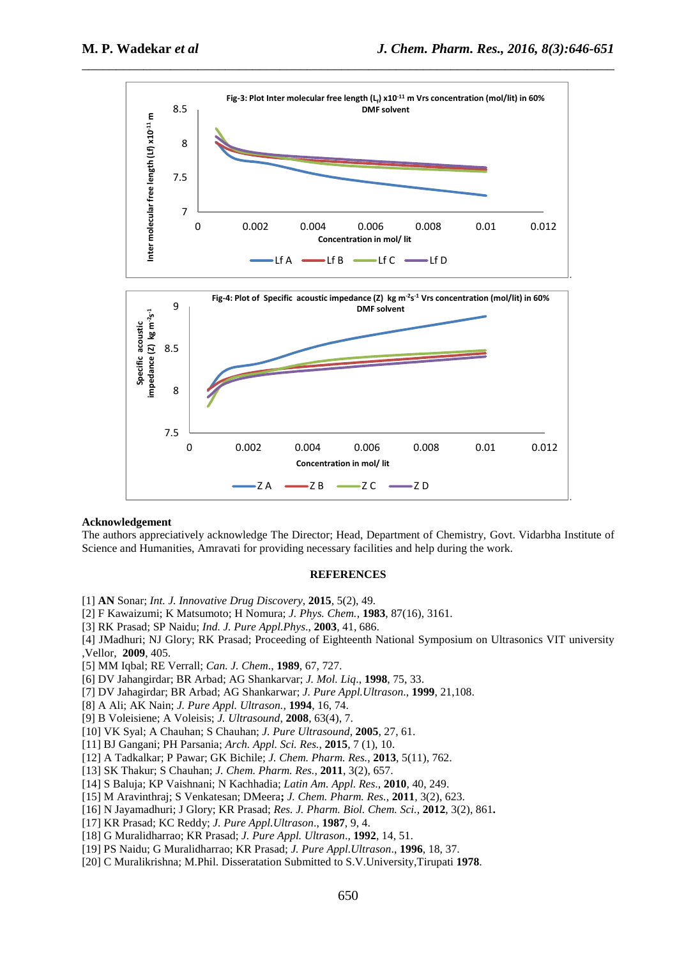

### **Acknowledgement**

The authors appreciatively acknowledge The Director; Head, Department of Chemistry, Govt. Vidarbha Institute of Science and Humanities, Amravati for providing necessary facilities and help during the work.

### **REFERENCES**

[1] **AN** Sonar; *Int. J. Innovative Drug Discovery*, **2015***,* 5(2), 49*.*

[2] F Kawaizumi; K Matsumoto; H Nomura; *J. Phys. Chem.*, **1983**, 87(16), 3161.

[3] RK Prasad; SP Naidu; *Ind. J. Pure Appl.Phys*., **2003**, 41, 686.

[4] JMadhuri; NJ Glory; RK Prasad; Proceeding of Eighteenth National Symposium on Ultrasonics VIT university ,Vellor, **2009**, 405.

[5] MM Iqbal; RE Verrall; *Can. J. Chem*., **1989**, 67, 727.

[6] DV Jahangirdar; BR Arbad; AG Shankarvar; *J. Mol. Liq*., **1998**, 75, 33.

[7] DV Jahagirdar; BR Arbad; AG Shankarwar; *J. Pure Appl.Ultrason*., **1999**, 21,108.

[8] A Ali; AK Nain; *J. Pure Appl. Ultrason.*, **1994**, 16, 74.

[9] B Voleisiene; A Voleisis; *J. Ultrasound*, **2008**, 63(4), 7.

[10] VK Syal; A Chauhan; S Chauhan; *J. Pure Ultrasound*, **2005**, 27, 61.

[11] BJ Gangani; PH Parsania; *Arch. Appl. Sci. Res.,* **2015***,* 7 (1), 10.

[12] A Tadkalkar; P Pawar; GK Bichile; *J. Chem. Pharm. Res.*, **2013**, 5(11), 762.

[13] SK Thakur; S Chauhan; *J. Chem. Pharm. Res.*, **2011**, 3(2), 657.

[14] S Baluja; KP Vaishnani; N Kachhadia; *Latin Am. Appl. Res*., **2010**, 40, 249.

[15] M Aravinthraj; S Venkatesan; DMeera**;** *J. Chem. Pharm. Res.,* **2011***,* 3(2), 623.

[16] N Jayamadhuri; J Glory; KR Prasad; *Res. J. Pharm. Biol. Chem. Sci.*, **2012**, 3(2), 861**.**

[17] KR Prasad; KC Reddy; *J. Pure Appl.Ultrason*., **1987**, 9, 4.

[18] G Muralidharrao; KR Prasad; *J. Pure Appl. Ultrason*., **1992**, 14, 51.

[19] PS Naidu; G Muralidharrao; KR Prasad; *J. Pure Appl.Ultrason*., **1996**, 18, 37.

[20] C Muralikrishna; M.Phil. Disseratation Submitted to S.V.University,Tirupati **1978**.